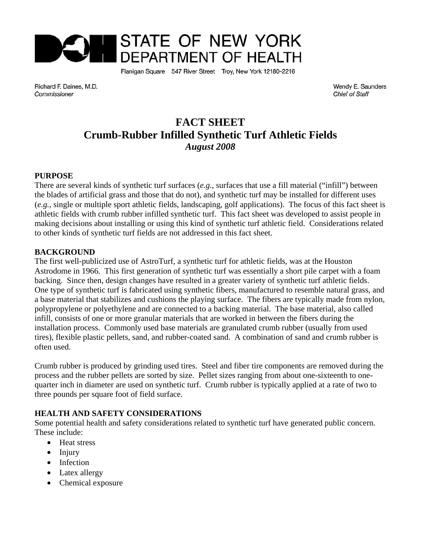

Flanigan Square 547 River Street Troy, New York 12180-2216

Richard F. Daines, M.D. Commissioner

Wendy E. Saunders **Chief of Staff** 

# **FACT SHEET Crumb-Rubber Infilled Synthetic Turf Athletic Fields** *August 2008*

### **PURPOSE**

There are several kinds of synthetic turf surfaces (*e.g.*, surfaces that use a fill material ("infill") between the blades of artificial grass and those that do not), and synthetic turf may be installed for different uses (*e.g.*, single or multiple sport athletic fields, landscaping, golf applications). The focus of this fact sheet is athletic fields with crumb rubber infilled synthetic turf. This fact sheet was developed to assist people in making decisions about installing or using this kind of synthetic turf athletic field. Considerations related to other kinds of synthetic turf fields are not addressed in this fact sheet.

### **BACKGROUND**

The first well-publicized use of AstroTurf, a synthetic turf for athletic fields, was at the Houston Astrodome in 1966. This first generation of synthetic turf was essentially a short pile carpet with a foam backing. Since then, design changes have resulted in a greater variety of synthetic turf athletic fields. One type of synthetic turf is fabricated using synthetic fibers, manufactured to resemble natural grass, and a base material that stabilizes and cushions the playing surface. The fibers are typically made from nylon, polypropylene or polyethylene and are connected to a backing material. The base material, also called infill, consists of one or more granular materials that are worked in between the fibers during the installation process. Commonly used base materials are granulated crumb rubber (usually from used tires), flexible plastic pellets, sand, and rubber-coated sand. A combination of sand and crumb rubber is often used.

Crumb rubber is produced by grinding used tires. Steel and fiber tire components are removed during the process and the rubber pellets are sorted by size. Pellet sizes ranging from about one-sixteenth to onequarter inch in diameter are used on synthetic turf. Crumb rubber is typically applied at a rate of two to three pounds per square foot of field surface.

# **HEALTH AND SAFETY CONSIDERATIONS**

Some potential health and safety considerations related to synthetic turf have generated public concern. These include:

- Heat stress
- Injury
- Infection
- Latex allergy
- Chemical exposure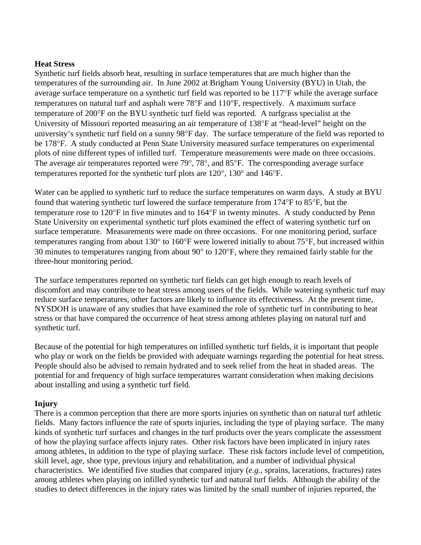### **Heat Stress**

Synthetic turf fields absorb heat, resulting in surface temperatures that are much higher than the temperatures of the surrounding air. In June 2002 at Brigham Young University (BYU) in Utah, the average surface temperature on a synthetic turf field was reported to be 117°F while the average surface temperatures on natural turf and asphalt were 78°F and 110°F, respectively. A maximum surface temperature of 200°F on the BYU synthetic turf field was reported. A turfgrass specialist at the University of Missouri reported measuring an air temperature of 138°F at "head-level" height on the university's synthetic turf field on a sunny 98°F day. The surface temperature of the field was reported to be 178°F. A study conducted at Penn State University measured surface temperatures on experimental plots of nine different types of infilled turf. Temperature measurements were made on three occasions. The average air temperatures reported were 79°, 78°, and 85°F. The corresponding average surface temperatures reported for the synthetic turf plots are 120°, 130° and 146°F.

Water can be applied to synthetic turf to reduce the surface temperatures on warm days. A study at BYU found that watering synthetic turf lowered the surface temperature from 174°F to 85°F, but the temperature rose to 120°F in five minutes and to 164°F in twenty minutes. A study conducted by Penn State University on experimental synthetic turf plots examined the effect of watering synthetic turf on surface temperature. Measurements were made on three occasions. For one monitoring period, surface temperatures ranging from about 130° to 160°F were lowered initially to about 75°F, but increased within 30 minutes to temperatures ranging from about 90° to 120°F, where they remained fairly stable for the three-hour monitoring period.

The surface temperatures reported on synthetic turf fields can get high enough to reach levels of discomfort and may contribute to heat stress among users of the fields. While watering synthetic turf may reduce surface temperatures, other factors are likely to influence its effectiveness. At the present time, NYSDOH is unaware of any studies that have examined the role of synthetic turf in contributing to heat stress or that have compared the occurrence of heat stress among athletes playing on natural turf and synthetic turf.

Because of the potential for high temperatures on infilled synthetic turf fields, it is important that people who play or work on the fields be provided with adequate warnings regarding the potential for heat stress. People should also be advised to remain hydrated and to seek relief from the heat in shaded areas. The potential for and frequency of high surface temperatures warrant consideration when making decisions about installing and using a synthetic turf field.

# **Injury**

There is a common perception that there are more sports injuries on synthetic than on natural turf athletic fields. Many factors influence the rate of sports injuries, including the type of playing surface. The many kinds of synthetic turf surfaces and changes in the turf products over the years complicate the assessment of how the playing surface affects injury rates. Other risk factors have been implicated in injury rates among athletes, in addition to the type of playing surface. These risk factors include level of competition, skill level, age, shoe type, previous injury and rehabilitation, and a number of individual physical characteristics. We identified five studies that compared injury (*e.g.,* sprains, lacerations, fractures) rates among athletes when playing on infilled synthetic turf and natural turf fields. Although the ability of the studies to detect differences in the injury rates was limited by the small number of injuries reported, the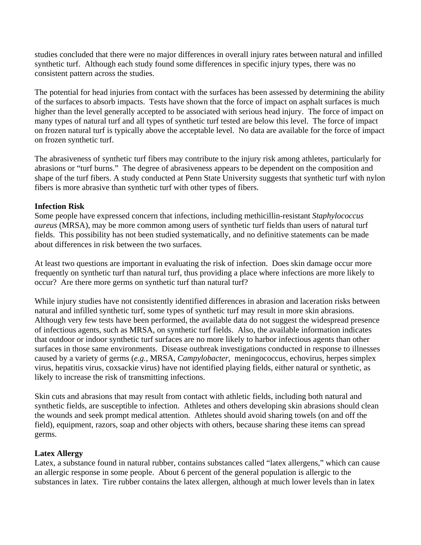studies concluded that there were no major differences in overall injury rates between natural and infilled synthetic turf. Although each study found some differences in specific injury types, there was no consistent pattern across the studies.

The potential for head injuries from contact with the surfaces has been assessed by determining the ability of the surfaces to absorb impacts. Tests have shown that the force of impact on asphalt surfaces is much higher than the level generally accepted to be associated with serious head injury. The force of impact on many types of natural turf and all types of synthetic turf tested are below this level. The force of impact on frozen natural turf is typically above the acceptable level. No data are available for the force of impact on frozen synthetic turf.

The abrasiveness of synthetic turf fibers may contribute to the injury risk among athletes, particularly for abrasions or "turf burns." The degree of abrasiveness appears to be dependent on the composition and shape of the turf fibers. A study conducted at Penn State University suggests that synthetic turf with nylon fibers is more abrasive than synthetic turf with other types of fibers.

### **Infection Risk**

Some people have expressed concern that infections, including methicillin-resistant *Staphylococcus aureus* (MRSA), may be more common among users of synthetic turf fields than users of natural turf fields. This possibility has not been studied systematically, and no definitive statements can be made about differences in risk between the two surfaces.

At least two questions are important in evaluating the risk of infection. Does skin damage occur more frequently on synthetic turf than natural turf, thus providing a place where infections are more likely to occur? Are there more germs on synthetic turf than natural turf?

While injury studies have not consistently identified differences in abrasion and laceration risks between natural and infilled synthetic turf, some types of synthetic turf may result in more skin abrasions. Although very few tests have been performed, the available data do not suggest the widespread presence of infectious agents, such as MRSA, on synthetic turf fields. Also, the available information indicates that outdoor or indoor synthetic turf surfaces are no more likely to harbor infectious agents than other surfaces in those same environments. Disease outbreak investigations conducted in response to illnesses caused by a variety of germs (*e.g.*, MRSA, *Campylobacter*, meningococcus, echovirus, herpes simplex virus, hepatitis virus, coxsackie virus) have not identified playing fields, either natural or synthetic, as likely to increase the risk of transmitting infections.

Skin cuts and abrasions that may result from contact with athletic fields, including both natural and synthetic fields, are susceptible to infection. Athletes and others developing skin abrasions should clean the wounds and seek prompt medical attention. Athletes should avoid sharing towels (on and off the field), equipment, razors, soap and other objects with others, because sharing these items can spread germs.

### **Latex Allergy**

Latex, a substance found in natural rubber, contains substances called "latex allergens," which can cause an allergic response in some people. About 6 percent of the general population is allergic to the substances in latex. Tire rubber contains the latex allergen, although at much lower levels than in latex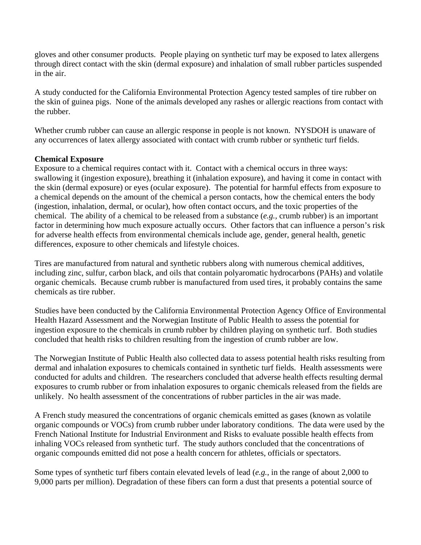gloves and other consumer products. People playing on synthetic turf may be exposed to latex allergens through direct contact with the skin (dermal exposure) and inhalation of small rubber particles suspended in the air.

A study conducted for the California Environmental Protection Agency tested samples of tire rubber on the skin of guinea pigs. None of the animals developed any rashes or allergic reactions from contact with the rubber.

Whether crumb rubber can cause an allergic response in people is not known. NYSDOH is unaware of any occurrences of latex allergy associated with contact with crumb rubber or synthetic turf fields.

# **Chemical Exposure**

Exposure to a chemical requires contact with it. Contact with a chemical occurs in three ways: swallowing it (ingestion exposure), breathing it (inhalation exposure), and having it come in contact with the skin (dermal exposure) or eyes (ocular exposure). The potential for harmful effects from exposure to a chemical depends on the amount of the chemical a person contacts, how the chemical enters the body (ingestion, inhalation, dermal, or ocular), how often contact occurs, and the toxic properties of the chemical. The ability of a chemical to be released from a substance (*e.g.,* crumb rubber) is an important factor in determining how much exposure actually occurs. Other factors that can influence a person's risk for adverse health effects from environmental chemicals include age, gender, general health, genetic differences, exposure to other chemicals and lifestyle choices.

Tires are manufactured from natural and synthetic rubbers along with numerous chemical additives, including zinc, sulfur, carbon black, and oils that contain polyaromatic hydrocarbons (PAHs) and volatile organic chemicals. Because crumb rubber is manufactured from used tires, it probably contains the same chemicals as tire rubber.

Studies have been conducted by the California Environmental Protection Agency Office of Environmental Health Hazard Assessment and the Norwegian Institute of Public Health to assess the potential for ingestion exposure to the chemicals in crumb rubber by children playing on synthetic turf. Both studies concluded that health risks to children resulting from the ingestion of crumb rubber are low.

The Norwegian Institute of Public Health also collected data to assess potential health risks resulting from dermal and inhalation exposures to chemicals contained in synthetic turf fields. Health assessments were conducted for adults and children. The researchers concluded that adverse health effects resulting dermal exposures to crumb rubber or from inhalation exposures to organic chemicals released from the fields are unlikely. No health assessment of the concentrations of rubber particles in the air was made.

A French study measured the concentrations of organic chemicals emitted as gases (known as volatile organic compounds or VOCs) from crumb rubber under laboratory conditions. The data were used by the French National Institute for Industrial Environment and Risks to evaluate possible health effects from inhaling VOCs released from synthetic turf. The study authors concluded that the concentrations of organic compounds emitted did not pose a health concern for athletes, officials or spectators.

Some types of synthetic turf fibers contain elevated levels of lead (*e.g.*, in the range of about 2,000 to 9,000 parts per million). Degradation of these fibers can form a dust that presents a potential source of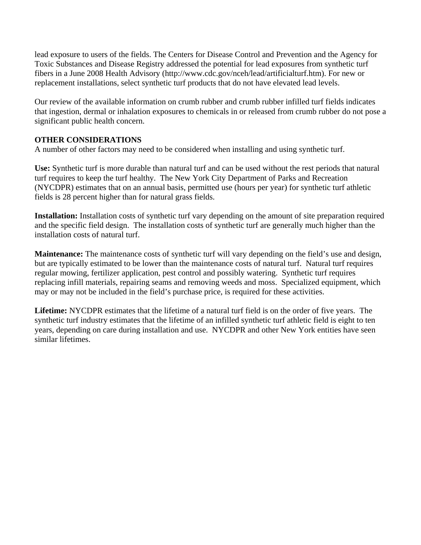lead exposure to users of the fields. The Centers for Disease Control and Prevention and the Agency for Toxic Substances and Disease Registry addressed the potential for lead exposures from synthetic turf fibers in a June 2008 Health Advisory (http://www.cdc.gov/nceh/lead/artificialturf.htm). For new or replacement installations, select synthetic turf products that do not have elevated lead levels.

Our review of the available information on crumb rubber and crumb rubber infilled turf fields indicates that ingestion, dermal or inhalation exposures to chemicals in or released from crumb rubber do not pose a significant public health concern.

# **OTHER CONSIDERATIONS**

A number of other factors may need to be considered when installing and using synthetic turf.

**Use:** Synthetic turf is more durable than natural turf and can be used without the rest periods that natural turf requires to keep the turf healthy. The New York City Department of Parks and Recreation (NYCDPR) estimates that on an annual basis, permitted use (hours per year) for synthetic turf athletic fields is 28 percent higher than for natural grass fields.

**Installation:** Installation costs of synthetic turf vary depending on the amount of site preparation required and the specific field design. The installation costs of synthetic turf are generally much higher than the installation costs of natural turf.

**Maintenance:** The maintenance costs of synthetic turf will vary depending on the field's use and design, but are typically estimated to be lower than the maintenance costs of natural turf. Natural turf requires regular mowing, fertilizer application, pest control and possibly watering. Synthetic turf requires replacing infill materials, repairing seams and removing weeds and moss. Specialized equipment, which may or may not be included in the field's purchase price, is required for these activities.

**Lifetime:** NYCDPR estimates that the lifetime of a natural turf field is on the order of five years. The synthetic turf industry estimates that the lifetime of an infilled synthetic turf athletic field is eight to ten years, depending on care during installation and use. NYCDPR and other New York entities have seen similar lifetimes.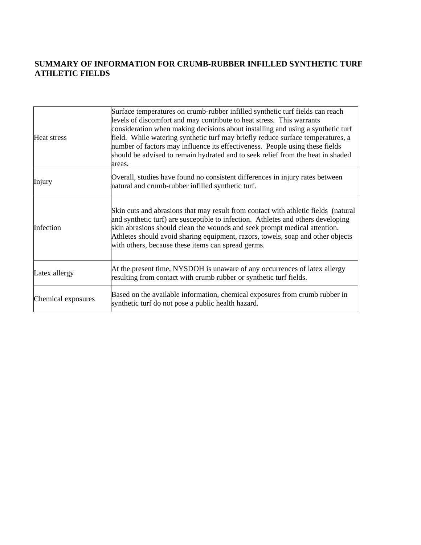# **SUMMARY OF INFORMATION FOR CRUMB-RUBBER INFILLED SYNTHETIC TURF ATHLETIC FIELDS**

| Heat stress        | Surface temperatures on crumb-rubber infilled synthetic turf fields can reach<br>levels of discomfort and may contribute to heat stress. This warrants<br>consideration when making decisions about installing and using a synthetic turf<br>field. While watering synthetic turf may briefly reduce surface temperatures, a<br>number of factors may influence its effectiveness. People using these fields<br>should be advised to remain hydrated and to seek relief from the heat in shaded<br>areas. |
|--------------------|-----------------------------------------------------------------------------------------------------------------------------------------------------------------------------------------------------------------------------------------------------------------------------------------------------------------------------------------------------------------------------------------------------------------------------------------------------------------------------------------------------------|
| Injury             | Overall, studies have found no consistent differences in injury rates between<br>natural and crumb-rubber infilled synthetic turf.                                                                                                                                                                                                                                                                                                                                                                        |
| Infection          | Skin cuts and abrasions that may result from contact with athletic fields (natural<br>and synthetic turf) are susceptible to infection. Athletes and others developing<br>skin abrasions should clean the wounds and seek prompt medical attention.<br>Athletes should avoid sharing equipment, razors, towels, soap and other objects<br>with others, because these items can spread germs.                                                                                                              |
| Latex allergy      | At the present time, NYSDOH is unaware of any occurrences of latex allergy<br>resulting from contact with crumb rubber or synthetic turf fields.                                                                                                                                                                                                                                                                                                                                                          |
| Chemical exposures | Based on the available information, chemical exposures from crumb rubber in<br>synthetic turf do not pose a public health hazard.                                                                                                                                                                                                                                                                                                                                                                         |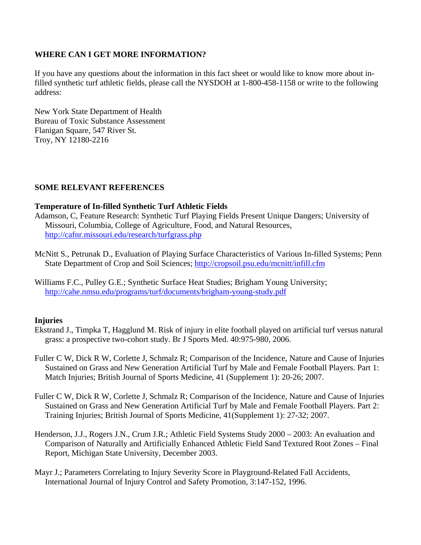# **WHERE CAN I GET MORE INFORMATION?**

If you have any questions about the information in this fact sheet or would like to know more about infilled synthetic turf athletic fields, please call the NYSDOH at 1-800-458-1158 or write to the following address:

New York State Department of Health Bureau of Toxic Substance Assessment Flanigan Square, 547 River St. Troy, NY 12180-2216

# **SOME RELEVANT REFERENCES**

# **Temperature of In-filled Synthetic Turf Athletic Fields**

- Adamson, C, Feature Research: Synthetic Turf Playing Fields Present Unique Dangers; University of Missouri, Columbia, College of Agriculture, Food, and Natural Resources, http://cafnr.missouri.edu/research/turfgrass.php
- McNitt S., Petrunak D., Evaluation of Playing Surface Characteristics of Various In-filled Systems; Penn State Department of Crop and Soil Sciences; http://cropsoil.psu.edu/mcnitt/infill.cfm
- Williams F.C., Pulley G.E.; Synthetic Surface Heat Studies; Brigham Young University; http://cahe.nmsu.edu/programs/turf/documents/brigham-young-study.pdf

# **Injuries**

- Ekstrand J., Timpka T, Hagglund M. Risk of injury in elite football played on artificial turf versus natural grass: a prospective two-cohort study. Br J Sports Med. 40:975-980, 2006.
- Fuller C W, Dick R W, Corlette J, Schmalz R; Comparison of the Incidence, Nature and Cause of Injuries Sustained on Grass and New Generation Artificial Turf by Male and Female Football Players. Part 1: Match Injuries; British Journal of Sports Medicine, 41 (Supplement 1): 20-26; 2007.
- Fuller C W, Dick R W, Corlette J, Schmalz R; Comparison of the Incidence, Nature and Cause of Injuries Sustained on Grass and New Generation Artificial Turf by Male and Female Football Players. Part 2: Training Injuries; British Journal of Sports Medicine, 41(Supplement 1): 27-32; 2007.
- Henderson, J.J., Rogers J.N., Crum J.R.; Athletic Field Systems Study 2000 2003: An evaluation and Comparison of Naturally and Artificially Enhanced Athletic Field Sand Textured Root Zones – Final Report, Michigan State University, December 2003.
- Mayr J.; Parameters Correlating to Injury Severity Score in Playground-Related Fall Accidents, International Journal of Injury Control and Safety Promotion, 3:147-152, 1996.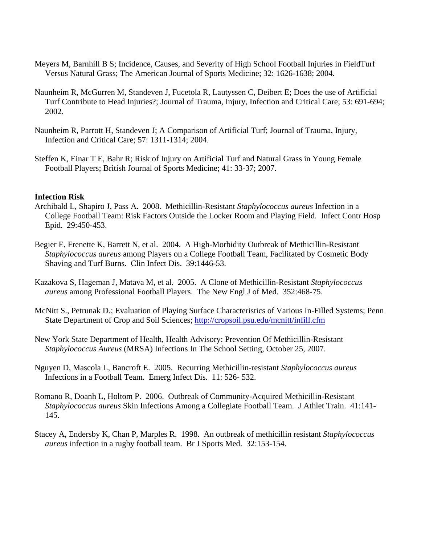- Meyers M, Barnhill B S; Incidence, Causes, and Severity of High School Football Injuries in FieldTurf Versus Natural Grass; The American Journal of Sports Medicine; 32: 1626-1638; 2004.
- Naunheim R, McGurren M, Standeven J, Fucetola R, Lautyssen C, Deibert E; Does the use of Artificial Turf Contribute to Head Injuries?; Journal of Trauma, Injury, Infection and Critical Care; 53: 691-694; 2002.
- Naunheim R, Parrott H, Standeven J; A Comparison of Artificial Turf; Journal of Trauma, Injury, Infection and Critical Care; 57: 1311-1314; 2004.
- Steffen K, Einar T E, Bahr R; Risk of Injury on Artificial Turf and Natural Grass in Young Female Football Players; British Journal of Sports Medicine; 41: 33-37; 2007.

### **Infection Risk**

- Archibald L, Shapiro J, Pass A. 2008. Methicillin-Resistant *Staphylococcus aureus* Infection in a College Football Team: Risk Factors Outside the Locker Room and Playing Field. Infect Contr Hosp Epid. 29:450-453.
- Begier E, Frenette K, Barrett N, et al. 2004. A High-Morbidity Outbreak of Methicillin-Resistant *Staphylococcus aureus* among Players on a College Football Team, Facilitated by Cosmetic Body Shaving and Turf Burns. Clin Infect Dis. 39:1446-53.
- Kazakova S, Hageman J, Matava M, et al. 2005. A Clone of Methicillin-Resistant *Staphylococcus aureus* among Professional Football Players. The New Engl J of Med. 352:468-75.
- McNitt S., Petrunak D.; Evaluation of Playing Surface Characteristics of Various In-Filled Systems; Penn State Department of Crop and Soil Sciences; http://cropsoil.psu.edu/mcnitt/infill.cfm
- New York State Department of Health, Health Advisory: Prevention Of Methicillin-Resistant *Staphylococcus Aureus* (MRSA) Infections In The School Setting, October 25, 2007.
- Nguyen D, Mascola L, Bancroft E. 2005. Recurring Methicillin-resistant *Staphylococcus aureus* Infections in a Football Team. Emerg Infect Dis. 11: 526- 532.
- Romano R, Doanh L, Holtom P. 2006. Outbreak of Community-Acquired Methicillin-Resistant *Staphylococcus aureus* Skin Infections Among a Collegiate Football Team. J Athlet Train. 41:141- 145.
- Stacey A, Endersby K, Chan P, Marples R. 1998. An outbreak of methicillin resistant *Staphylococcus aureus* infection in a rugby football team. Br J Sports Med. 32:153-154.